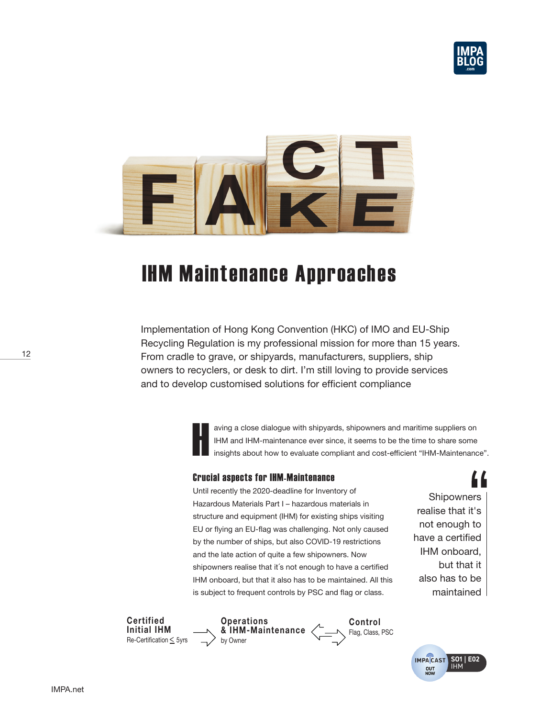



# IHM Maintenance Approaches

Implementation of Hong Kong Convention (HKC) of IMO and EU-Ship Recycling Regulation is my professional mission for more than 15 years. From cradle to grave, or shipyards, manufacturers, suppliers, ship owners to recyclers, or desk to dirt. I'm still loving to provide services and to develop customised solutions for efficient compliance

> H aving a close dialogue with shipyards, shipowners and maritime suppliers on IHM and IHM-maintenance ever since, it seems to be the time to share some insights about how to evaluate compliant and cost-efficient "IHM-Maintenance".

## Crucial aspects for IHM-Maintenance

Until recently the 2020-deadline for Inventory of Hazardous Materials Part I – hazardous materials in structure and equipment (IHM) for existing ships visiting EU or flying an EU-flag was challenging. Not only caused by the number of ships, but also COVID-19 restrictions and the late action of quite a few shipowners. Now shipowners realise that it´s not enough to have a certified IHM onboard, but that it also has to be maintained. All this is subject to frequent controls by PSC and flag or class.

**Shipowners** realise that it's not enough to have a certified IHM onboard, but that it also has to be maintained



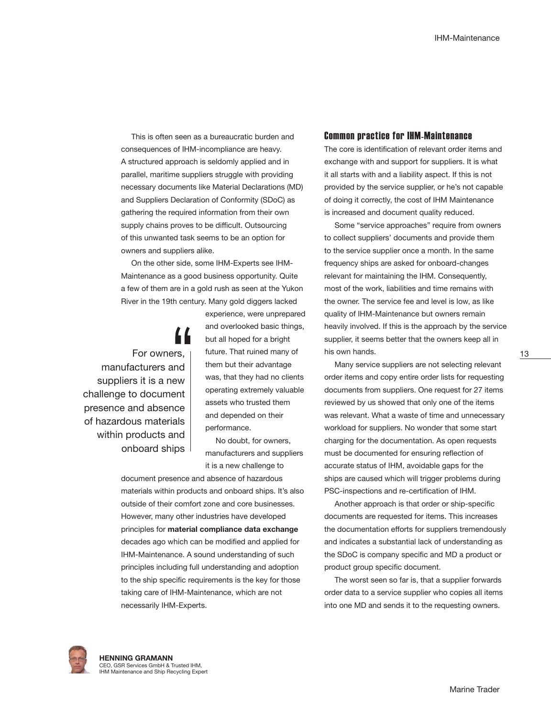This is often seen as a bureaucratic burden and consequences of IHM-incompliance are heavy. A structured approach is seldomly applied and in parallel, maritime suppliers struggle with providing necessary documents like Material Declarations (MD) and Suppliers Declaration of Conformity (SDoC) as gathering the required information from their own supply chains proves to be difficult. Outsourcing of this unwanted task seems to be an option for owners and suppliers alike.

On the other side, some IHM-Experts see IHM-Maintenance as a good business opportunity. Quite a few of them are in a gold rush as seen at the Yukon River in the 19th century. Many gold diggers lacked

For owners, manufacturers and suppliers it is a new challenge to document presence and absence of hazardous materials within products and onboard ships experience, were unprepared and overlooked basic things, but all hoped for a bright future. That ruined many of them but their advantage was, that they had no clients operating extremely valuable assets who trusted them and depended on their performance.

No doubt, for owners, manufacturers and suppliers it is a new challenge to

document presence and absence of hazardous materials within products and onboard ships. It's also outside of their comfort zone and core businesses. However, many other industries have developed principles for **material compliance data exchange**  decades ago which can be modified and applied for IHM-Maintenance. A sound understanding of such principles including full understanding and adoption to the ship specific requirements is the key for those taking care of IHM-Maintenance, which are not necessarily IHM-Experts.

#### Common practice for IHM-Maintenance

The core is identification of relevant order items and exchange with and support for suppliers. It is what it all starts with and a liability aspect. If this is not provided by the service supplier, or he's not capable of doing it correctly, the cost of IHM Maintenance is increased and document quality reduced.

Some "service approaches" require from owners to collect suppliers' documents and provide them to the service supplier once a month. In the same frequency ships are asked for onboard-changes relevant for maintaining the IHM. Consequently, most of the work, liabilities and time remains with the owner. The service fee and level is low, as like quality of IHM-Maintenance but owners remain heavily involved. If this is the approach by the service supplier, it seems better that the owners keep all in his own hands.

Many service suppliers are not selecting relevant order items and copy entire order lists for requesting documents from suppliers. One request for 27 items reviewed by us showed that only one of the items was relevant. What a waste of time and unnecessary workload for suppliers. No wonder that some start charging for the documentation. As open requests must be documented for ensuring reflection of accurate status of IHM, avoidable gaps for the ships are caused which will trigger problems during PSC-inspections and re-certification of IHM.

Another approach is that order or ship-specific documents are requested for items. This increases the documentation efforts for suppliers tremendously and indicates a substantial lack of understanding as the SDoC is company specific and MD a product or product group specific document.

The worst seen so far is, that a supplier forwards order data to a service supplier who copies all items into one MD and sends it to the requesting owners.